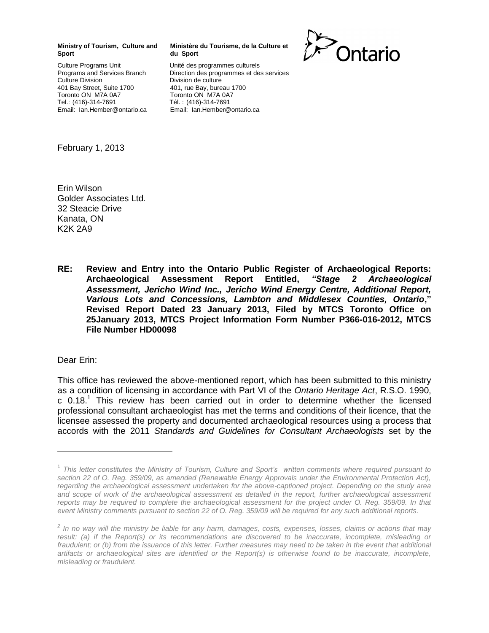## **Ministry of Tourism, Culture and Sport**

Culture Programs Unit Programs and Services Branch Culture Division 401 Bay Street, Suite 1700 Toronto ON M7A 0A7 Tel.: (416)-314-7691 Email: Ian.Hember@ontario.ca

## **Ministère du Tourisme, de la Culture et du Sport**

Unité des programmes culturels Direction des programmes et des services Division de culture 401, rue Bay, bureau 1700 Toronto ON M7A 0A7 Tél. : (416)-314-7691 Email: Ian.Hember@ontario.ca



February 1, 2013

Erin Wilson Golder Associates Ltd. 32 Steacie Drive Kanata, ON K2K 2A9

**RE: Review and Entry into the Ontario Public Register of Archaeological Reports: Archaeological Assessment Report Entitled,** *"Stage 2 Archaeological Assessment, Jericho Wind Inc., Jericho Wind Energy Centre, Additional Report, Various Lots and Concessions, Lambton and Middlesex Counties, Ontario***," Revised Report Dated 23 January 2013, Filed by MTCS Toronto Office on 25January 2013, MTCS Project Information Form Number P366-016-2012, MTCS File Number HD00098**

Dear Erin:

This office has reviewed the above-mentioned report, which has been submitted to this ministry as a condition of licensing in accordance with Part VI of the *Ontario Heritage Act*, R.S.O. 1990, c 0.18. <sup>1</sup> This review has been carried out in order to determine whether the licensed professional consultant archaeologist has met the terms and conditions of their licence, that the licensee assessed the property and documented archaeological resources using a process that accords with the 2011 *Standards and Guidelines for Consultant Archaeologists* set by the

<sup>1</sup> *This letter constitutes the Ministry of Tourism, Culture and Sport's written comments where required pursuant to*  section 22 of O. Reg. 359/09, as amended (Renewable Energy Approvals under the Environmental Protection Act), *regarding the archaeological assessment undertaken for the above-captioned project. Depending on the study area*  and scope of work of the archaeological assessment as detailed in the report, further archaeological assessment *reports may be required to complete the archaeological assessment for the project under O. Reg. 359/09. In that event Ministry comments pursuant to section 22 of O. Reg. 359/09 will be required for any such additional reports.*

*<sup>2</sup> In no way will the ministry be liable for any harm, damages, costs, expenses, losses, claims or actions that may*  result: (a) if the Report(s) or its recommendations are discovered to be inaccurate, incomplete, misleading or fraudulent; or (b) from the issuance of this letter. Further measures may need to be taken in the event that additional artifacts or archaeological sites are identified or the Report(s) is otherwise found to be inaccurate, incomplete, *misleading or fraudulent.*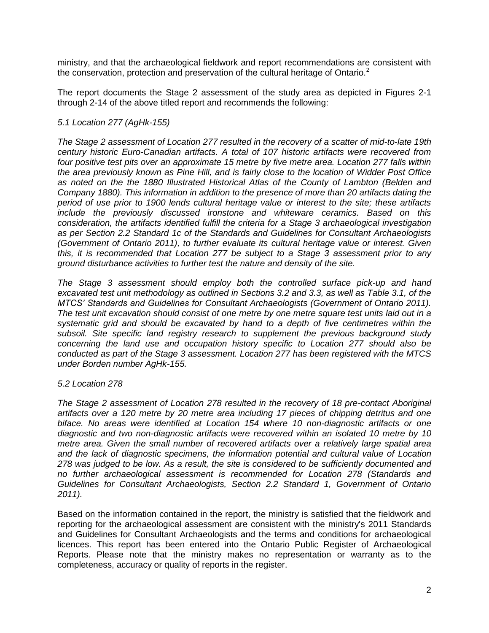ministry, and that the archaeological fieldwork and report recommendations are consistent with the conservation, protection and preservation of the cultural heritage of Ontario. $2$ 

The report documents the Stage 2 assessment of the study area as depicted in Figures 2-1 through 2-14 of the above titled report and recommends the following:

## *5.1 Location 277 (AgHk-155)*

*The Stage 2 assessment of Location 277 resulted in the recovery of a scatter of mid-to-late 19th century historic Euro-Canadian artifacts. A total of 107 historic artifacts were recovered from four positive test pits over an approximate 15 metre by five metre area. Location 277 falls within the area previously known as Pine Hill, and is fairly close to the location of Widder Post Office as noted on the the 1880 Illustrated Historical Atlas of the County of Lambton (Belden and Company 1880). This information in addition to the presence of more than 20 artifacts dating the period of use prior to 1900 lends cultural heritage value or interest to the site; these artifacts include the previously discussed ironstone and whiteware ceramics. Based on this consideration, the artifacts identified fulfill the criteria for a Stage 3 archaeological investigation as per Section 2.2 Standard 1c of the Standards and Guidelines for Consultant Archaeologists (Government of Ontario 2011), to further evaluate its cultural heritage value or interest. Given this, it is recommended that Location 277 be subject to a Stage 3 assessment prior to any ground disturbance activities to further test the nature and density of the site.*

*The Stage 3 assessment should employ both the controlled surface pick-up and hand excavated test unit methodology as outlined in Sections 3.2 and 3.3, as well as Table 3.1, of the MTCS' Standards and Guidelines for Consultant Archaeologists (Government of Ontario 2011). The test unit excavation should consist of one metre by one metre square test units laid out in a systematic grid and should be excavated by hand to a depth of five centimetres within the subsoil. Site specific land registry research to supplement the previous background study concerning the land use and occupation history specific to Location 277 should also be conducted as part of the Stage 3 assessment. Location 277 has been registered with the MTCS under Borden number AgHk-155.*

## *5.2 Location 278*

*The Stage 2 assessment of Location 278 resulted in the recovery of 18 pre-contact Aboriginal artifacts over a 120 metre by 20 metre area including 17 pieces of chipping detritus and one biface. No areas were identified at Location 154 where 10 non-diagnostic artifacts or one diagnostic and two non-diagnostic artifacts were recovered within an isolated 10 metre by 10 metre area. Given the small number of recovered artifacts over a relatively large spatial area and the lack of diagnostic specimens, the information potential and cultural value of Location 278 was judged to be low. As a result, the site is considered to be sufficiently documented and no further archaeological assessment is recommended for Location 278 (Standards and Guidelines for Consultant Archaeologists, Section 2.2 Standard 1, Government of Ontario 2011).*

Based on the information contained in the report, the ministry is satisfied that the fieldwork and reporting for the archaeological assessment are consistent with the ministry's 2011 Standards and Guidelines for Consultant Archaeologists and the terms and conditions for archaeological licences. This report has been entered into the Ontario Public Register of Archaeological Reports. Please note that the ministry makes no representation or warranty as to the completeness, accuracy or quality of reports in the register.